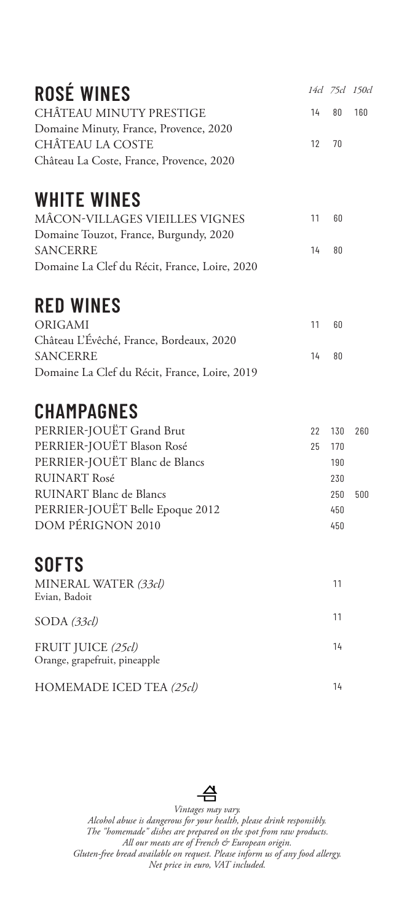| <b>ROSÉ WINES</b>                             |    |    | 14cl 75cl 150cl |
|-----------------------------------------------|----|----|-----------------|
| CHÂTEAU MINUTY PRESTIGE                       | 14 | 80 | 160             |
| Domaine Minuty, France, Provence, 2020        |    |    |                 |
| CHÂTEAU LA COSTE                              | 12 | 70 |                 |
| Château La Coste, France, Provence, 2020      |    |    |                 |
| <b>WHITE WINES</b>                            |    |    |                 |
| MÂCON-VILLAGES VIEILLES VIGNES                | 11 | 60 |                 |
| Domaine Touzot, France, Burgundy, 2020        |    |    |                 |
| <b>SANCERRE</b>                               | 14 | 80 |                 |
| Domaine La Clef du Récit, France, Loire, 2020 |    |    |                 |
| <b>RED WINES</b>                              |    |    |                 |
| ORIGAMI                                       | 11 | 60 |                 |
| Château L'Évêché, France, Bordeaux, 2020      |    |    |                 |

|  | <b>CHAMPAGNES</b> |  |  |  |
|--|-------------------|--|--|--|
|  |                   |  |  |  |

Domaine La Clef du Récit, France, Loire, 2019

SANCERRE

| PERRIER-JOUËT Grand Brut        | 22 130 260 |     |
|---------------------------------|------------|-----|
| PERRIER-JOUËT Blason Rosé       | 25 170     |     |
| PERRIER-JOUËT Blanc de Blancs   | 190        |     |
| <b>RUINART Rosé</b>             | 230        |     |
| RUINART Blanc de Blancs         | 250        | 500 |
| PERRIER-JOUËT Belle Epoque 2012 | 450        |     |
| DOM PÉRIGNON 2010               | 450        |     |

14 80

## **SOFTS**

| MINERAL WATER (33cl)<br>Evian, Badoit               | 11 |
|-----------------------------------------------------|----|
| SODA (33cl)                                         | 11 |
| FRUIT JUICE (25cl)<br>Orange, grapefruit, pineapple | 14 |
| HOMEMADE ICED TEA (25cl)                            | 14 |